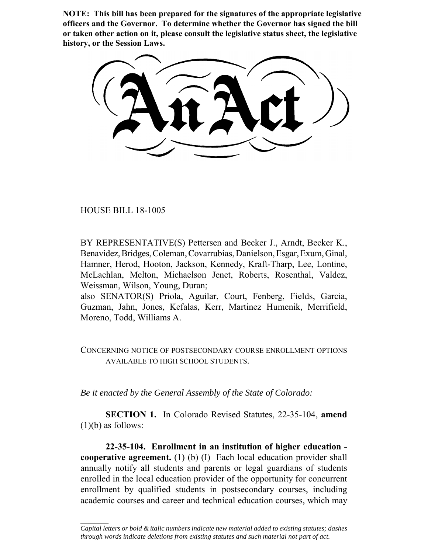**NOTE: This bill has been prepared for the signatures of the appropriate legislative officers and the Governor. To determine whether the Governor has signed the bill or taken other action on it, please consult the legislative status sheet, the legislative history, or the Session Laws.**

HOUSE BILL 18-1005

 $\frac{1}{2}$ 

BY REPRESENTATIVE(S) Pettersen and Becker J., Arndt, Becker K., Benavidez, Bridges, Coleman, Covarrubias, Danielson, Esgar, Exum, Ginal, Hamner, Herod, Hooton, Jackson, Kennedy, Kraft-Tharp, Lee, Lontine, McLachlan, Melton, Michaelson Jenet, Roberts, Rosenthal, Valdez, Weissman, Wilson, Young, Duran;

also SENATOR(S) Priola, Aguilar, Court, Fenberg, Fields, Garcia, Guzman, Jahn, Jones, Kefalas, Kerr, Martinez Humenik, Merrifield, Moreno, Todd, Williams A.

CONCERNING NOTICE OF POSTSECONDARY COURSE ENROLLMENT OPTIONS AVAILABLE TO HIGH SCHOOL STUDENTS.

*Be it enacted by the General Assembly of the State of Colorado:*

**SECTION 1.** In Colorado Revised Statutes, 22-35-104, **amend** (1)(b) as follows:

**22-35-104. Enrollment in an institution of higher education cooperative agreement.** (1) (b) (I) Each local education provider shall annually notify all students and parents or legal guardians of students enrolled in the local education provider of the opportunity for concurrent enrollment by qualified students in postsecondary courses, including academic courses and career and technical education courses, which may

*Capital letters or bold & italic numbers indicate new material added to existing statutes; dashes through words indicate deletions from existing statutes and such material not part of act.*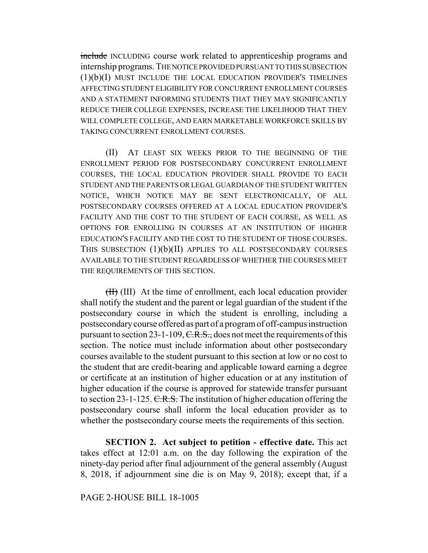include INCLUDING course work related to apprenticeship programs and internship programs. THE NOTICE PROVIDED PURSUANT TO THIS SUBSECTION (1)(b)(I) MUST INCLUDE THE LOCAL EDUCATION PROVIDER'S TIMELINES AFFECTING STUDENT ELIGIBILITY FOR CONCURRENT ENROLLMENT COURSES AND A STATEMENT INFORMING STUDENTS THAT THEY MAY SIGNIFICANTLY REDUCE THEIR COLLEGE EXPENSES, INCREASE THE LIKELIHOOD THAT THEY WILL COMPLETE COLLEGE, AND EARN MARKETABLE WORKFORCE SKILLS BY TAKING CONCURRENT ENROLLMENT COURSES.

(II) AT LEAST SIX WEEKS PRIOR TO THE BEGINNING OF THE ENROLLMENT PERIOD FOR POSTSECONDARY CONCURRENT ENROLLMENT COURSES, THE LOCAL EDUCATION PROVIDER SHALL PROVIDE TO EACH STUDENT AND THE PARENTS OR LEGAL GUARDIAN OF THE STUDENT WRITTEN NOTICE, WHICH NOTICE MAY BE SENT ELECTRONICALLY, OF ALL POSTSECONDARY COURSES OFFERED AT A LOCAL EDUCATION PROVIDER'S FACILITY AND THE COST TO THE STUDENT OF EACH COURSE, AS WELL AS OPTIONS FOR ENROLLING IN COURSES AT AN INSTITUTION OF HIGHER EDUCATION'S FACILITY AND THE COST TO THE STUDENT OF THOSE COURSES. THIS SUBSECTION (1)(b)(II) APPLIES TO ALL POSTSECONDARY COURSES AVAILABLE TO THE STUDENT REGARDLESS OF WHETHER THE COURSES MEET THE REQUIREMENTS OF THIS SECTION.

(II) (III) At the time of enrollment, each local education provider shall notify the student and the parent or legal guardian of the student if the postsecondary course in which the student is enrolling, including a postsecondary course offered as part of a program of off-campus instruction pursuant to section 23-1-109,  $C.R.S.,$  does not meet the requirements of this section. The notice must include information about other postsecondary courses available to the student pursuant to this section at low or no cost to the student that are credit-bearing and applicable toward earning a degree or certificate at an institution of higher education or at any institution of higher education if the course is approved for statewide transfer pursuant to section 23-1-125. C.R.S. The institution of higher education offering the postsecondary course shall inform the local education provider as to whether the postsecondary course meets the requirements of this section.

**SECTION 2. Act subject to petition - effective date.** This act takes effect at 12:01 a.m. on the day following the expiration of the ninety-day period after final adjournment of the general assembly (August 8, 2018, if adjournment sine die is on May 9, 2018); except that, if a

PAGE 2-HOUSE BILL 18-1005